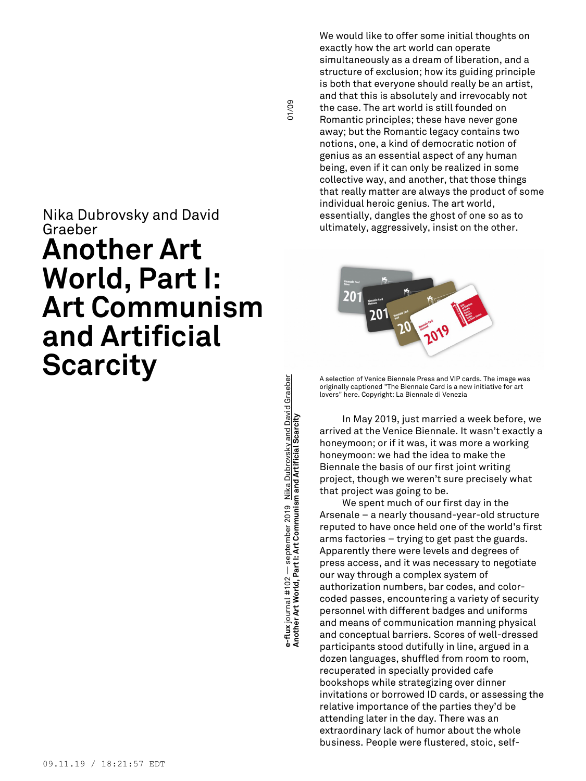## Nika Dubrovsky and David Graeber **Another Art World, Part I: Art Communism and Artificial Scarcity**

**munism and Artificial Scarcity** 01/09 **e-flux** journal #102 — september 2019 Nika Dubrovsky and David Graeber s-flux journal #102 — september 2019 <u>Nika Dubrovsky and David Graeber</u><br>Another Art World, Part I: Art Communism and Artificial Scarcity **Another Art World, Part I: Art Com**

01/09

We would like to offer some initial thoughts on exactly how the art world can operate simultaneously as a dream of liberation, and a structure of exclusion; how its guiding principle is both that everyone should really be an artist, and that this is absolutely and irrevocably not the case. The art world is still founded on Romantic principles; these have never gone away; but the Romantic legacy contains two notions, one, a kind of democratic notion of genius as an essential aspect of any human being, even if it can only be realized in some collective way, and another, that those things that really matter are always the product of some individual heroic genius. The art world, essentially, dangles the ghost of one so as to ultimately, aggressively, insist on the other.



A selection of Venice Biennale Press and VIP cards. The image was originally captioned "The Biennale Card is a new initiative for art lovers" here. Copyright: La Biennale di Venezia

In May 2019, just married a week before, we arrived at the Venice Biennale. It wasn't exactly a honeymoon; or if it was, it was more a working honeymoon: we had the idea to make the Biennale the basis of our first joint writing project, though we weren't sure precisely what that project was going to be.

We spent much of our first day in the Arsenale – a nearly thousand-year-old structure reputed to have once held one of the world's first arms factories – trying to get past the guards. Apparently there were levels and degrees of press access, and it was necessary to negotiate our way through a complex system of authorization numbers, bar codes, and colorcoded passes, encountering a variety of security personnel with different badges and uniforms and means of communication manning physical and conceptual barriers. Scores of well-dressed participants stood dutifully in line, argued in a dozen languages, shuffled from room to room, recuperated in specially provided cafe bookshops while strategizing over dinner invitations or borrowed ID cards, or assessing the relative importance of the parties they'd be attending later in the day. There was an extraordinary lack of humor about the whole business. People were flustered, stoic, self-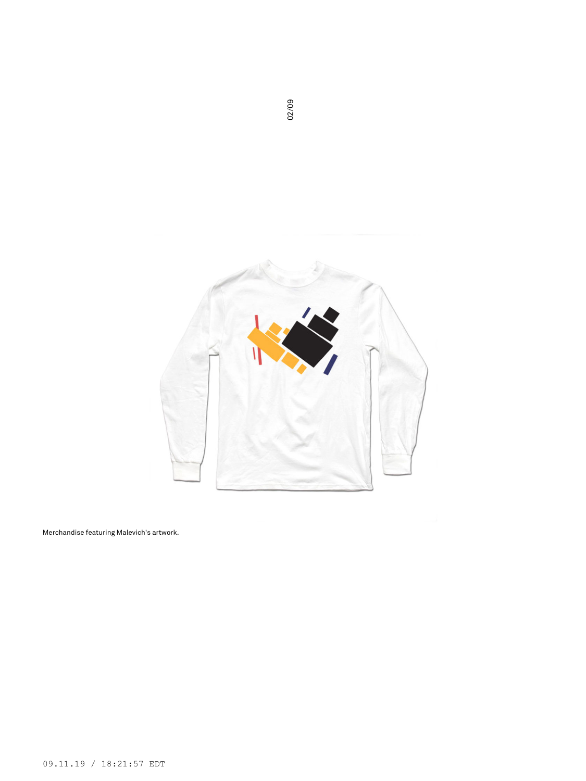

Merchandise featuring Malevich's artwork.

02/09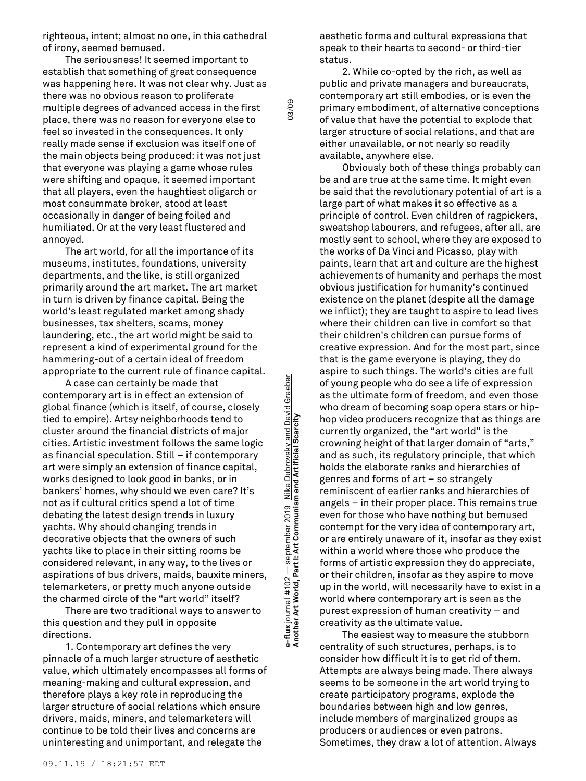righteous, intent; almost no one, in this cathedral of irony, seemed bemused.

The seriousness! It seemed important to establish that something of great consequence was happening here. It was not clear why. Just as there was no obvious reason to proliferate multiple degrees of advanced access in the first place, there was no reason for everyone else to feel so invested in the consequences. It only really made sense if exclusion was itself one of the main objects being produced: it was not just that everyone was playing a game whose rules were shifting and opaque, it seemed important that all players, even the haughtiest oligarch or most consummate broker, stood at least occasionally in danger of being foiled and humiliated. Or at the very least flustered and annoyed.

The art world, for all the importance of its museums, institutes, foundations, university departments, and the like, is still organized primarily around the art market. The art market in turn is driven by finance capital. Being the world's least regulated market among shady businesses, tax shelters, scams, money laundering, etc., the art world might be said to represent a kind of experimental ground for the hammering-out of a certain ideal of freedom appropriate to the current rule of finance capital.

A case can certainly be made that contemporary art is in effect an extension of global finance (which is itself, of course, closely tied to empire). Artsy neighborhoods tend to cluster around the financial districts of major cities. Artistic investment follows the same logic as financial speculation. Still – if contemporary art were simply an extension of finance capital, works designed to look good in banks, or in bankers' homes, why should we even care? It's not as if cultural critics spend a lot of time debating the latest design trends in luxury yachts. Why should changing trends in decorative objects that the owners of such yachts like to place in their sitting rooms be considered relevant, in any way, to the lives or aspirations of bus drivers, maids, bauxite miners, telemarketers, or pretty much anyone outside the charmed circle of the "art world" itself?

There are two traditional ways to answer to this question and they pull in opposite directions.

1. Contemporary art defines the very pinnacle of a much larger structure of aesthetic value, which ultimately encompasses all forms of meaning-making and cultural expression, and therefore plays a key role in reproducing the larger structure of social relations which ensure drivers, maids, miners, and telemarketers will continue to be told their lives and concerns are uninteresting and unimportant, and relegate the

**munism and Artificial Scarcity** 03/09 e-flux journal #102 — september 2019 <u>Nika Dubrovsky and David Graeber</u><br>Another Art World, Part I: Art Communism and Artificial Scarcity **e-flux** journal #102 — september 2019 Nika Dubrovsky and David Graeber **Another Art World, Part I: Art Com**

03/09

aesthetic forms and cultural expressions that speak to their hearts to second- or third-tier status.

2. While co-opted by the rich, as well as public and private managers and bureaucrats, contemporary art still embodies, or is even the primary embodiment, of alternative conceptions of value that have the potential to explode that larger structure of social relations, and that are either unavailable, or not nearly so readily available, anywhere else.

Obviously both of these things probably can be and are true at the same time. It might even be said that the revolutionary potential of art is a large part of what makes it so effective as a principle of control. Even children of ragpickers, sweatshop labourers, and refugees, after all, are mostly sent to school, where they are exposed to the works of Da Vinci and Picasso, play with paints, learn that art and culture are the highest achievements of humanity and perhaps the most obvious justification for humanity's continued existence on the planet (despite all the damage we inflict); they are taught to aspire to lead lives where their children can live in comfort so that their children's children can pursue forms of creative expression. And for the most part, since that is the game everyone is playing, they do aspire to such things. The world's cities are full of young people who do see a life of expression as the ultimate form of freedom, and even those who dream of becoming soap opera stars or hiphop video producers recognize that as things are currently organized, the "art world" is the crowning height of that larger domain of "arts," and as such, its regulatory principle, that which holds the elaborate ranks and hierarchies of genres and forms of art – so strangely reminiscent of earlier ranks and hierarchies of angels – in their proper place. This remains true even for those who have nothing but bemused contempt for the very idea of contemporary art, or are entirely unaware of it, insofar as they exist within a world where those who produce the forms of artistic expression they do appreciate, or their children, insofar as they aspire to move up in the world, will necessarily have to exist in a world where contemporary art is seen as the purest expression of human creativity – and creativity as the ultimate value.

The easiest way to measure the stubborn centrality of such structures, perhaps, is to consider how difficult it is to get rid of them. Attempts are always being made. There always seems to be someone in the art world trying to create participatory programs, explode the boundaries between high and low genres, include members of marginalized groups as producers or audiences or even patrons. Sometimes, they draw a lot of attention. Always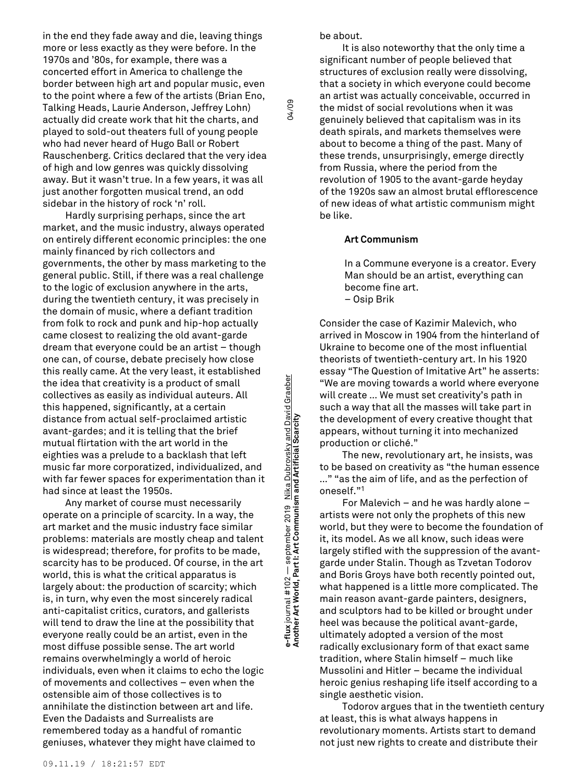in the end they fade away and die, leaving things more or less exactly as they were before. In the 1970s and '80s, for example, there was a concerted effort in America to challenge the border between high art and popular music, even to the point where a few of the artists (Brian Eno, Talking Heads, Laurie Anderson, Jeffrey Lohn) actually did create work that hit the charts, and played to sold-out theaters full of young people who had never heard of Hugo Ball or Robert Rauschenberg. Critics declared that the very idea of high and low genres was quickly dissolving away. But it wasn't true. In a few years, it was all just another forgotten musical trend, an odd sidebar in the history of rock 'n' roll.

Hardly surprising perhaps, since the art market, and the music industry, always operated on entirely different economic principles: the one mainly financed by rich collectors and governments, the other by mass marketing to the general public. Still, if there was a real challenge to the logic of exclusion anywhere in the arts, during the twentieth century, it was precisely in the domain of music, where a defiant tradition from folk to rock and punk and hip-hop actually came closest to realizing the old avant-garde dream that everyone could be an artist – though one can, of course, debate precisely how close this really came. At the very least, it established the idea that creativity is a product of small collectives as easily as individual auteurs. All this happened, significantly, at a certain distance from actual self-proclaimed artistic avant-gardes; and it is telling that the brief mutual flirtation with the art world in the eighties was a prelude to a backlash that left music far more corporatized, individualized, and with far fewer spaces for experimentation than it had since at least the 1950s.

Any market of course must necessarily operate on a principle of scarcity. In a way, the art market and the music industry face similar problems: materials are mostly cheap and talent is widespread; therefore, for profits to be made, scarcity has to be produced. Of course, in the art world, this is what the critical apparatus is largely about: the production of scarcity; which is, in turn, why even the most sincerely radical anti-capitalist critics, curators, and gallerists will tend to draw the line at the possibility that everyone really could be an artist, even in the most diffuse possible sense. The art world remains overwhelmingly a world of heroic individuals, even when it claims to echo the logic of movements and collectives – even when the ostensible aim of those collectives is to annihilate the distinction between art and life. Even the Dadaists and Surrealists are remembered today as a handful of romantic geniuses, whatever they might have claimed to

**munism and Artificial Scarcity** 04/09 e-flux journal #102 — september 2019 <u>Nika Dubrovsky and David Graeber</u><br>Another Art World, Part I: Art Communism and Artificial Scarcity **e-flux** journal #102 — september 2019 Nika Dubrovsky and David Graeber **Another Art World, Part I: Art Com** be about.

04/09

It is also noteworthy that the only time a significant number of people believed that structures of exclusion really were dissolving, that a society in which everyone could become an artist was actually conceivable, occurred in the midst of social revolutions when it was genuinely believed that capitalism was in its death spirals, and markets themselves were about to become a thing of the past. Many of these trends, unsurprisingly, emerge directly from Russia, where the period from the revolution of 1905 to the avant-garde heyday of the 1920s saw an almost brutal efflorescence of new ideas of what artistic communism might be like.

## **Art Communism**

In a Commune everyone is a creator. Every Man should be an artist, everything can become fine art. – Osip Brik

Consider the case of Kazimir Malevich, who arrived in Moscow in 1904 from the hinterland of Ukraine to become one of the most influential theorists of twentieth-century art. In his 1920 essay "The Question of Imitative Art" he asserts: "We are moving towards a world where everyone will create … We must set creativity's path in such a way that all the masses will take part in the development of every creative thought that appears, without turning it into mechanized production or cliché."

The new, revolutionary art, he insists, was to be based on creativity as "the human essence …" "as the aim of life, and as the perfection of oneself." 1

For Malevich – and he was hardly alone – artists were not only the prophets of this new world, but they were to become the foundation of it, its model. As we all know, such ideas were largely stifled with the suppression of the avantgarde under Stalin. Though as Tzvetan Todorov and Boris Groys have both recently pointed out, what happened is a little more complicated. The main reason avant-garde painters, designers, and sculptors had to be killed or brought under heel was because the political avant-garde, ultimately adopted a version of the most radically exclusionary form of that exact same tradition, where Stalin himself – much like Mussolini and Hitler – became the individual heroic genius reshaping life itself according to a single aesthetic vision.

Todorov argues that in the twentieth century at least, this is what always happens in revolutionary moments. Artists start to demand not just new rights to create and distribute their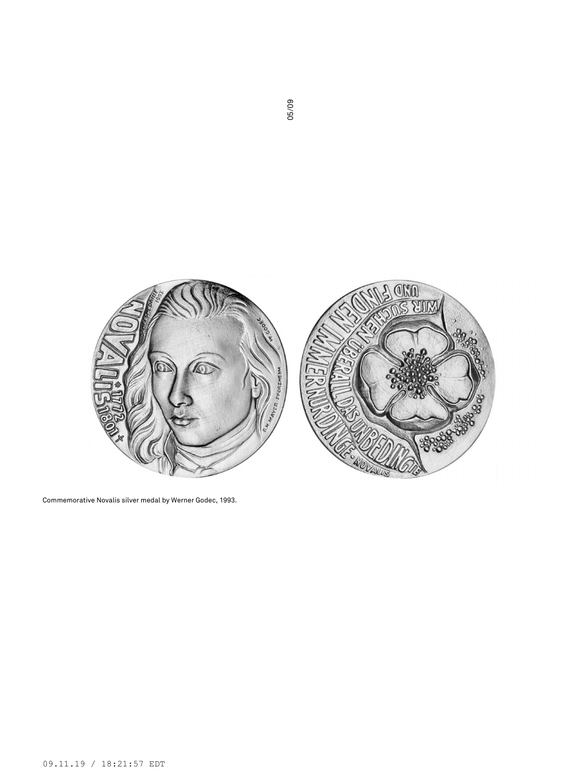

Commemorative Novalis silver medal by Werner Godec, 1993.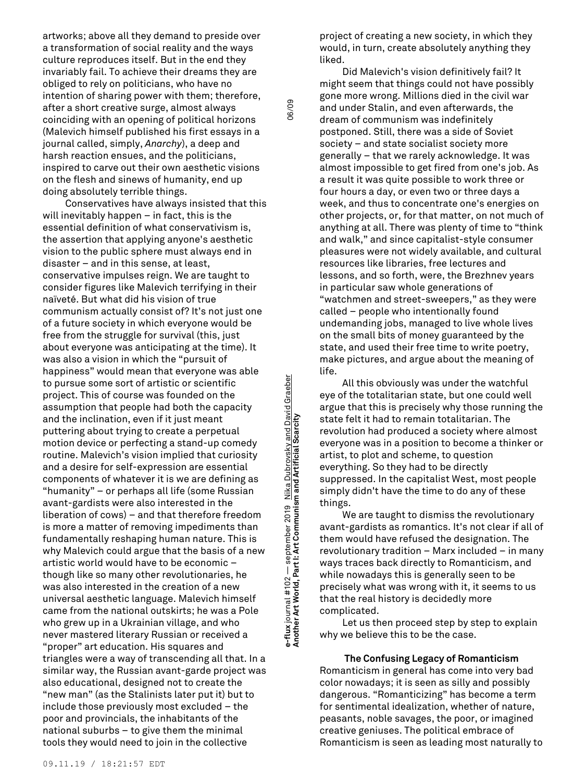artworks; above all they demand to preside over a transformation of social reality and the ways culture reproduces itself. But in the end they invariably fail. To achieve their dreams they are obliged to rely on politicians, who have no intention of sharing power with them; therefore, after a short creative surge, almost always coinciding with an opening of political horizons (Malevich himself published his first essays in a journal called, simply, *Anarchy*), a deep and harsh reaction ensues, and the politicians, inspired to carve out their own aesthetic visions on the flesh and sinews of humanity, end up doing absolutely terrible things.

Conservatives have always insisted that this will inevitably happen – in fact, this is the essential definition of what conservativism is, the assertion that applying anyone's aesthetic vision to the public sphere must always end in disaster – and in this sense, at least, conservative impulses reign. We are taught to consider figures like Malevich terrifying in their naïveté. But what did his vision of true communism actually consist of? It's not just one of a future society in which everyone would be free from the struggle for survival (this, just about everyone was anticipating at the time). It was also a vision in which the "pursuit of happiness" would mean that everyone was able to pursue some sort of artistic or scientific project. This of course was founded on the assumption that people had both the capacity and the inclination, even if it just meant puttering about trying to create a perpetual motion device or perfecting a stand-up comedy routine. Malevich's vision implied that curiosity and a desire for self-expression are essential components of whatever it is we are defining as "humanity" – or perhaps all life (some Russian avant-gardists were also interested in the liberation of cows) – and that therefore freedom is more a matter of removing impediments than fundamentally reshaping human nature. This is why Malevich could argue that the basis of a new artistic world would have to be economic – though like so many other revolutionaries, he was also interested in the creation of a new universal aesthetic language. Malevich himself came from the national outskirts; he was a Pole who grew up in a Ukrainian village, and who never mastered literary Russian or received a "proper" art education. His squares and triangles were a way of transcending all that. In a similar way, the Russian avant-garde project was also educational, designed not to create the "new man" (as the Stalinists later put it) but to include those previously most excluded – the poor and provincials, the inhabitants of the national suburbs – to give them the minimal tools they would need to join in the collective

**munism and Artificial Scarcity** 06/09 s-flux journal #102 — september 2019 Nika Dubrovsky and David Graeber<br>Another Art World, Part I: Art Communism and Artificial Scarcity **e-flux** journal #102 — september 2019 Nika Dubrovsky and David Graeber **Another Art World, Part I: Art Com**

06/09

project of creating a new society, in which they would, in turn, create absolutely anything they liked.

Did Malevich's vision definitively fail? It might seem that things could not have possibly gone more wrong. Millions died in the civil war and under Stalin, and even afterwards, the dream of communism was indefinitely postponed. Still, there was a side of Soviet society – and state socialist society more generally – that we rarely acknowledge. It was almost impossible to get fired from one's job. As a result it was quite possible to work three or four hours a day, or even two or three days a week, and thus to concentrate one's energies on other projects, or, for that matter, on not much of anything at all. There was plenty of time to "think and walk," and since capitalist-style consumer pleasures were not widely available, and cultural resources like libraries, free lectures and lessons, and so forth, were, the Brezhnev years in particular saw whole generations of "watchmen and street-sweepers," as they were called – people who intentionally found undemanding jobs, managed to live whole lives on the small bits of money guaranteed by the state, and used their free time to write poetry, make pictures, and argue about the meaning of life.

All this obviously was under the watchful eye of the totalitarian state, but one could well argue that this is precisely why those running the state felt it had to remain totalitarian. The revolution had produced a society where almost everyone was in a position to become a thinker or artist, to plot and scheme, to question everything. So they had to be directly suppressed. In the capitalist West, most people simply didn't have the time to do any of these things.

We are taught to dismiss the revolutionary avant-gardists as romantics. It's not clear if all of them would have refused the designation. The revolutionary tradition – Marx included – in many ways traces back directly to Romanticism, and while nowadays this is generally seen to be precisely what was wrong with it, it seems to us that the real history is decidedly more complicated.

Let us then proceed step by step to explain why we believe this to be the case.

**The Confusing Legacy of Romanticism** Romanticism in general has come into very bad color nowadays; it is seen as silly and possibly dangerous. "Romanticizing" has become a term for sentimental idealization, whether of nature, peasants, noble savages, the poor, or imagined creative geniuses. The political embrace of Romanticism is seen as leading most naturally to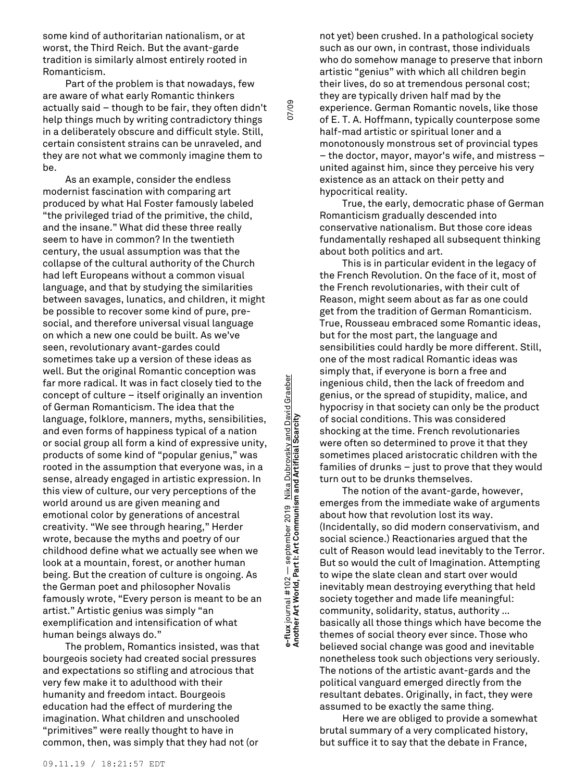some kind of authoritarian nationalism, or at worst, the Third Reich. But the avant-garde tradition is similarly almost entirely rooted in Romanticism.

Part of the problem is that nowadays, few are aware of what early Romantic thinkers actually said – though to be fair, they often didn't help things much by writing contradictory things in a deliberately obscure and difficult style. Still, certain consistent strains can be unraveled, and they are not what we commonly imagine them to be.

As an example, consider the endless modernist fascination with comparing art produced by what Hal Foster famously labeled "the privileged triad of the primitive, the child, and the insane." What did these three really seem to have in common? In the twentieth century, the usual assumption was that the collapse of the cultural authority of the Church had left Europeans without a common visual language, and that by studying the similarities between savages, lunatics, and children, it might be possible to recover some kind of pure, presocial, and therefore universal visual language on which a new one could be built. As we've seen, revolutionary avant-gardes could sometimes take up a version of these ideas as well. But the original Romantic conception was far more radical. It was in fact closely tied to the concept of culture – itself originally an invention of German Romanticism. The idea that the language, folklore, manners, myths, sensibilities, and even forms of happiness typical of a nation or social group all form a kind of expressive unity, products of some kind of "popular genius," was rooted in the assumption that everyone was, in a sense, already engaged in artistic expression. In this view of culture, our very perceptions of the world around us are given meaning and emotional color by generations of ancestral creativity. "We see through hearing," Herder wrote, because the myths and poetry of our childhood define what we actually see when we look at a mountain, forest, or another human being. But the creation of culture is ongoing. As the German poet and philosopher Novalis famously wrote, "Every person is meant to be an artist." Artistic genius was simply "an exemplification and intensification of what human beings always do."

The problem, Romantics insisted, was that bourgeois society had created social pressures and expectations so stifling and atrocious that very few make it to adulthood with their humanity and freedom intact. Bourgeois education had the effect of murdering the imagination. What children and unschooled "primitives" were really thought to have in common, then, was simply that they had not (or

**munism and Artificial Scarcity** 07/09 e-flux journal #102 — september 2019 <u>Nika Dubrovsky and David Graeber</u><br>Another Art World, Part I: Art Communism and Artificial Scarcity **e-flux** journal #102 — september 2019 Nika Dubrovsky and David Graeber **Another Art World, Part I: Art Com**

07/09

not yet) been crushed. In a pathological society such as our own, in contrast, those individuals who do somehow manage to preserve that inborn artistic "genius" with which all children begin their lives, do so at tremendous personal cost; they are typically driven half mad by the experience. German Romantic novels, like those of E. T. A. Hoffmann, typically counterpose some half-mad artistic or spiritual loner and a monotonously monstrous set of provincial types – the doctor, mayor, mayor's wife, and mistress – united against him, since they perceive his very existence as an attack on their petty and hypocritical reality.

True, the early, democratic phase of German Romanticism gradually descended into conservative nationalism. But those core ideas fundamentally reshaped all subsequent thinking about both politics and art.

This is in particular evident in the legacy of the French Revolution. On the face of it, most of the French revolutionaries, with their cult of Reason, might seem about as far as one could get from the tradition of German Romanticism. True, Rousseau embraced some Romantic ideas, but for the most part, the language and sensibilities could hardly be more different. Still, one of the most radical Romantic ideas was simply that, if everyone is born a free and ingenious child, then the lack of freedom and genius, or the spread of stupidity, malice, and hypocrisy in that society can only be the product of social conditions. This was considered shocking at the time. French revolutionaries were often so determined to prove it that they sometimes placed aristocratic children with the families of drunks – just to prove that they would turn out to be drunks themselves.

The notion of the avant-garde, however, emerges from the immediate wake of arguments about how that revolution lost its way. (Incidentally, so did modern conservativism, and social science.) Reactionaries argued that the cult of Reason would lead inevitably to the Terror. But so would the cult of Imagination. Attempting to wipe the slate clean and start over would inevitably mean destroying everything that held society together and made life meaningful: community, solidarity, status, authority … basically all those things which have become the themes of social theory ever since. Those who believed social change was good and inevitable nonetheless took such objections very seriously. The notions of the artistic avant-gards and the political vanguard emerged directly from the resultant debates. Originally, in fact, they were assumed to be exactly the same thing.

Here we are obliged to provide a somewhat brutal summary of a very complicated history, but suffice it to say that the debate in France,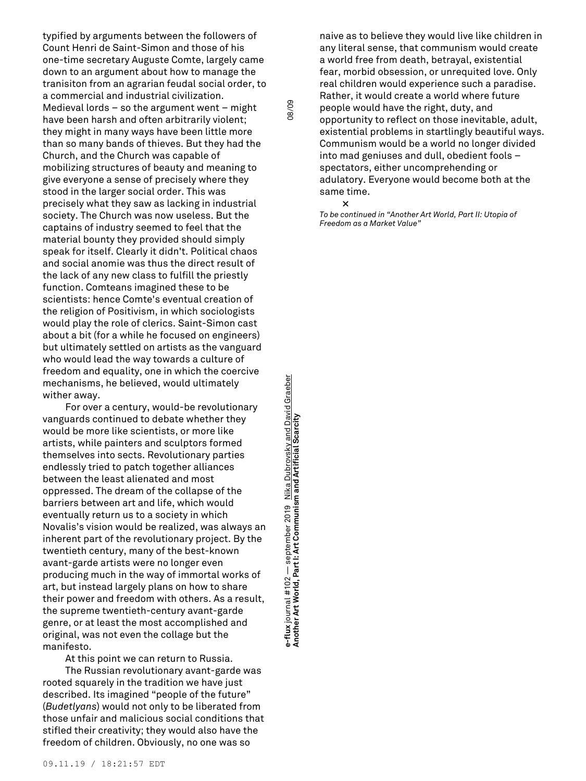typified by arguments between the followers of Count Henri de Saint-Simon and those of his one-time secretary Auguste Comte, largely came down to an argument about how to manage the tranisiton from an agrarian feudal social order, to a commercial and industrial civilization. Medieval lords – so the argument went – might have been harsh and often arbitrarily violent; they might in many ways have been little more than so many bands of thieves. But they had the Church, and the Church was capable of mobilizing structures of beauty and meaning to give everyone a sense of precisely where they stood in the larger social order. This was precisely what they saw as lacking in industrial society. The Church was now useless. But the captains of industry seemed to feel that the material bounty they provided should simply speak for itself. Clearly it didn't. Political chaos and social anomie was thus the direct result of the lack of any new class to fulfill the priestly function. Comteans imagined these to be scientists: hence Comte's eventual creation of the religion of Positivism, in which sociologists would play the role of clerics. Saint-Simon cast about a bit (for a while he focused on engineers) but ultimately settled on artists as the vanguard who would lead the way towards a culture of freedom and equality, one in which the coercive mechanisms, he believed, would ultimately wither away.

For over a century, would-be revolutionary vanguards continued to debate whether they would be more like scientists, or more like artists, while painters and sculptors formed themselves into sects. Revolutionary parties endlessly tried to patch together alliances between the least alienated and most oppressed. The dream of the collapse of the barriers between art and life, which would eventually return us to a society in which Novalis's vision would be realized, was always an inherent part of the revolutionary project. By the twentieth century, many of the best-known avant-garde artists were no longer even producing much in the way of immortal works of art, but instead largely plans on how to share their power and freedom with others. As a result, the supreme twentieth-century avant-garde genre, or at least the most accomplished and original, was not even the collage but the manifesto.

At this point we can return to Russia.

The Russian revolutionary avant-garde was rooted squarely in the tradition we have just described. Its imagined "people of the future" (*Budetlyans*) would not only to be liberated from those unfair and malicious social conditions that stifled their creativity; they would also have the freedom of children. Obviously, no one was so

naive as to believe they would live like children in any literal sense, that communism would create a world free from death, betrayal, existential fear, morbid obsession, or unrequited love. Only real children would experience such a paradise. Rather, it would create a world where future people would have the right, duty, and opportunity to reflect on those inevitable, adult, existential problems in startlingly beautiful ways. Communism would be a world no longer divided into mad geniuses and dull, obedient fools – spectators, either uncomprehending or adulatory. Everyone would become both at the same time.

**×**

08/09

*To be continued in "Another Art World, Part II: Utopia of Freedom as a Market Value"*